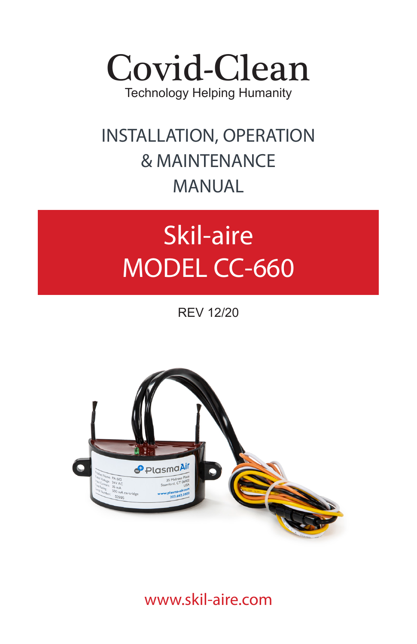

## **INSTALLATION, OPERATION & MAINTENANCE MANUAL**

# **Skil-aire MODEL CC-660**

REV 12/20



www.skil-aire.com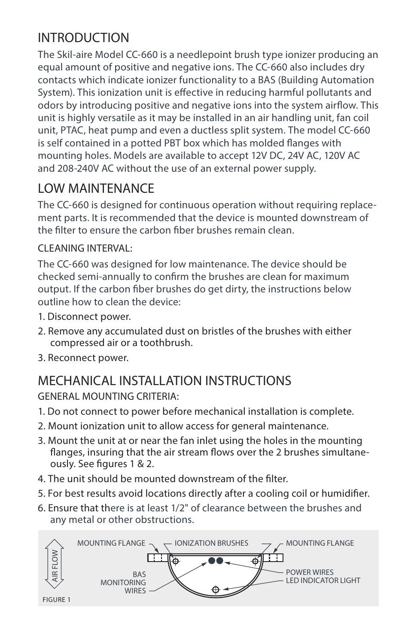## **INTRODUCTION**

The Skil-aire Model CC-660 is a needlepoint brush type ionizer producing an equal amount of positive and negative ions. The CC-660 also includes dry contacts which indicate ionizer functionality to a BAS (Building Automation System). This ionization unit is effective in reducing harmful pollutants and odors by introducing positive and negative ions into the system airflow. This unit is highly versatile as it may be installed in an air handling unit, fan coil unit, PTAC, heat pump and even a ductless split system. The model CC-660 is self contained in a potted PBT box which has molded flanges with mounting holes. Models are available to accept 12V DC, 24V AC, 120V AC and 208-240V AC without the use of an external power supply.

## **LOW MAINTENANCE**

The CC-660 is designed for continuous operation without requiring replacement parts. It is recommended that the device is mounted downstream of the filter to ensure the carbon fiber brushes remain clean.

#### **CLEANING INTERVAL:**

The CC-660 was designed for low maintenance. The device should be checked semi-annually to confirm the brushes are clean for maximum output. If the carbon fiber brushes do get dirty, the instructions below outline how to clean the device:

- **1.** Disconnect power.
- **2.** Remove any accumulated dust on bristles of the brushes with either compressed air or a toothbrush.
- **3.** Reconnect power.

## **MECHANICAL INSTALLATION INSTRUCTIONS**

#### **GENERAL MOUNTING CRITERIA:**

- **1.** Do not connect to power before mechanical installation is complete.
- **2.** Mount ionization unit to allow access for general maintenance.
- **3.** Mount the unit at or near the fan inlet using the holes in the mounting flanges, insuring that the air stream flows over the 2 brushes simultaneously. See figures 1 & 2.
- 4. The unit should be mounted downstream of the filter.
- **5.** For best results avoid locations directly after a cooling coil or humidier.
- **6.** Ensure that there is at least 1/2" of clearance between the brushes and any metal or other obstructions.

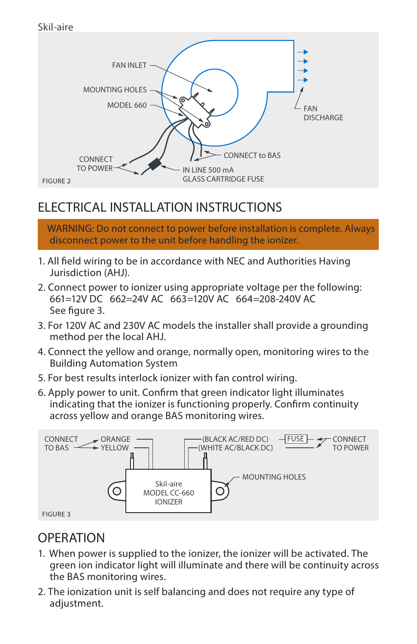

## **ELECTRICAL INSTALLATION INSTRUCTIONS**

 **WARNING: Do not connect to power before installation is complete. Always disconnect power to the unit before handling the ionizer.** 

- 1. All field wiring to be in accordance with NEC and Authorities Having Jurisdiction (AHJ).
- **2.** Connect power to ionizer using appropriate voltage per the following: 661=12V DC 662=24V AC 663=120V AC 664=208-240V AC See figure 3.
- **3.** For 120V AC and 230V AC models the installer shall provide a grounding method per the local AHJ.
- **4.** Connect the yellow and orange, normally open, monitoring wires to the Building Automation System
- **5.** For best results interlock ionizer with fan control wiring.
- **6.** Apply power to unit. Confirm that green indicator light illuminates indicating that the ionizer is functioning properly. Confirm continuity across yellow and orange BAS monitoring wires.



## **OPERATION**

- **1.** When power is supplied to the ionizer, the ionizer will be activated. The green ion indicator light will illuminate and there will be continuity across the BAS monitoring wires.
- **2.** The ionization unit is self balancing and does not require any type of adjustment.